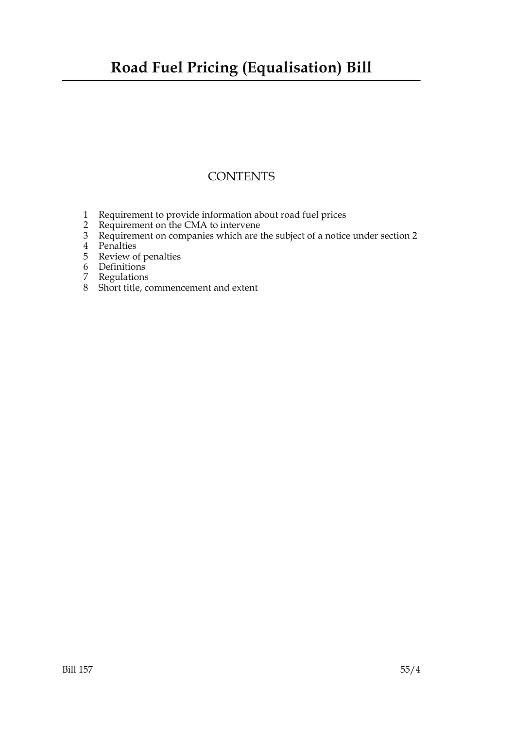### **Road Fuel Pricing (Equalisation) Bill**

### **CONTENTS**

- 1 Requirement to provide information about road fuel prices
- 2 Requirement on the CMA to intervene
- 3 Requirement on companies which are the subject of a notice under section 2
- 4 Penalties
- 5 Review of penalties
- 6 Definitions
- 7 Regulations
- 8 Short title, commencement and extent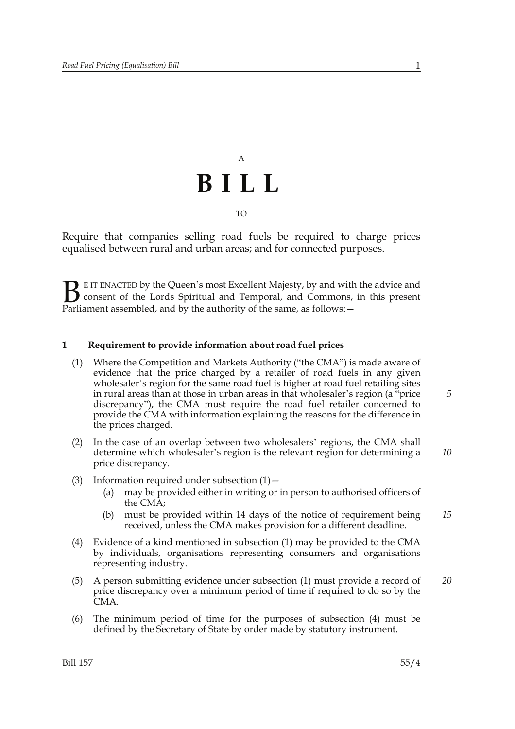## A **BILL** TO

Require that companies selling road fuels be required to charge prices equalised between rural and urban areas; and for connected purposes.

E IT ENACTED by the Queen's most Excellent Majesty, by and with the advice and consent of the Lords Spiritual and Temporal, and Commons, in this present **B** E IT ENACTED by the Queen's most Excellent Majesty, by and with consent of the Lords Spiritual and Temporal, and Commons, Parliament assembled, and by the authority of the same, as follows:  $-$ 

#### **1 Requirement to provide information about road fuel prices**

- (1) Where the Competition and Markets Authority ("the CMA") is made aware of evidence that the price charged by a retailer of road fuels in any given wholesaler's region for the same road fuel is higher at road fuel retailing sites in rural areas than at those in urban areas in that wholesaler's region (a "price discrepancy"), the CMA must require the road fuel retailer concerned to provide the CMA with information explaining the reasons for the difference in the prices charged.
- (2) In the case of an overlap between two wholesalers' regions, the CMA shall determine which wholesaler's region is the relevant region for determining a price discrepancy.
- (3) Information required under subsection  $(1)$ 
	- may be provided either in writing or in person to authorised officers of the CMA;
	- (b) must be provided within 14 days of the notice of requirement being received, unless the CMA makes provision for a different deadline. *15*
- (4) Evidence of a kind mentioned in subsection (1) may be provided to the CMA by individuals, organisations representing consumers and organisations representing industry.
- (5) A person submitting evidence under subsection (1) must provide a record of price discrepancy over a minimum period of time if required to do so by the CMA. *20*
- (6) The minimum period of time for the purposes of subsection (4) must be defined by the Secretary of State by order made by statutory instrument.

*5*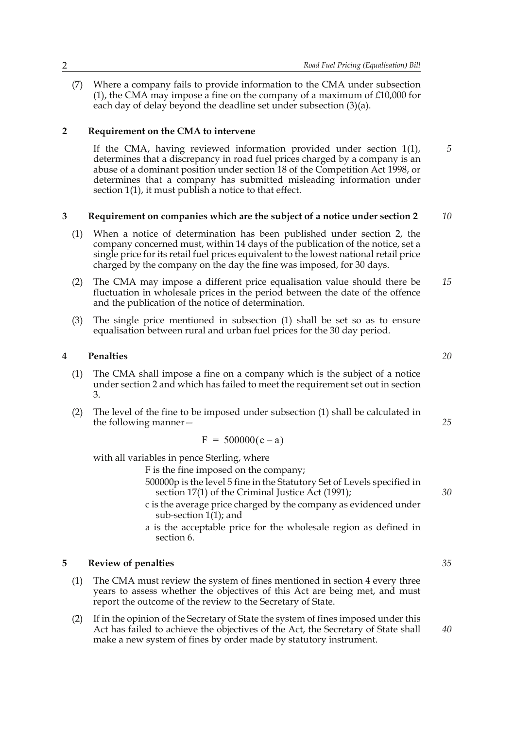(7) Where a company fails to provide information to the CMA under subsection (1), the CMA may impose a fine on the company of a maximum of £10,000 for each day of delay beyond the deadline set under subsection (3)(a).

### **2 Requirement on the CMA to intervene**

If the CMA, having reviewed information provided under section 1(1), determines that a discrepancy in road fuel prices charged by a company is an abuse of a dominant position under section 18 of the Competition Act 1998, or determines that a company has submitted misleading information under section 1(1), it must publish a notice to that effect.

#### **3 Requirement on companies which are the subject of a notice under section 2** *10*

- (1) When a notice of determination has been published under section 2, the company concerned must, within 14 days of the publication of the notice, set a single price for its retail fuel prices equivalent to the lowest national retail price charged by the company on the day the fine was imposed, for 30 days.
- (2) The CMA may impose a different price equalisation value should there be fluctuation in wholesale prices in the period between the date of the offence and the publication of the notice of determination. *15*
- (3) The single price mentioned in subsection (1) shall be set so as to ensure equalisation between rural and urban fuel prices for the 30 day period.

#### **4 Penalties**

- (1) The CMA shall impose a fine on a company which is the subject of a notice under section 2 and which has failed to meet the requirement set out in section 3.
- (2) The level of the fine to be imposed under subsection (1) shall be calculated in the following manner—

$$
F = 500000(c - a)
$$

with all variables in pence Sterling, where

F is the fine imposed on the company;

- 500000p is the level 5 fine in the Statutory Set of Levels specified in section 17(1) of the Criminal Justice Act (1991);
- c is the average price charged by the company as evidenced under sub-section  $1(1)$ ; and
- a is the acceptable price for the wholesale region as defined in section 6.

#### **5 Review of penalties**

- (1) The CMA must review the system of fines mentioned in section 4 every three years to assess whether the objectives of this Act are being met, and must report the outcome of the review to the Secretary of State.
- (2) If in the opinion of the Secretary of State the system of fines imposed under this Act has failed to achieve the objectives of the Act, the Secretary of State shall make a new system of fines by order made by statutory instrument.

*20*

*5*

*25*

*35*

*40*

*30*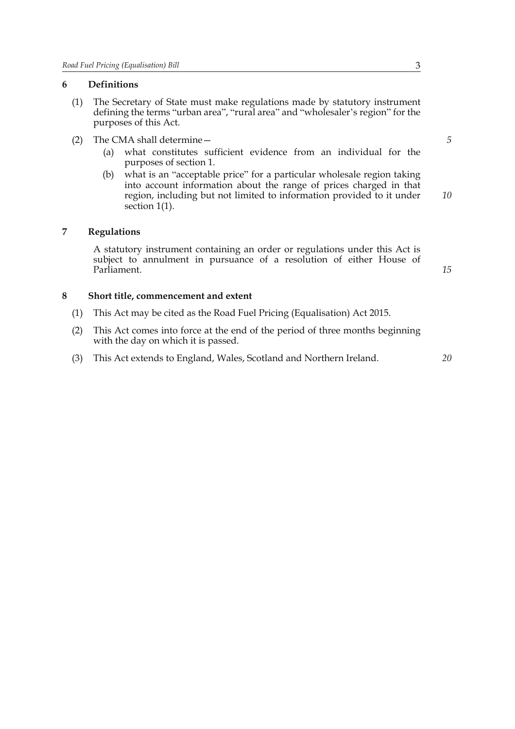#### **6 Definitions**

- (1) The Secretary of State must make regulations made by statutory instrument defining the terms "urban area", "rural area" and "wholesaler's region" for the purposes of this Act.
- (2) The CMA shall determine—
	- (a) what constitutes sufficient evidence from an individual for the purposes of section 1.
	- (b) what is an "acceptable price" for a particular wholesale region taking into account information about the range of prices charged in that region, including but not limited to information provided to it under section 1(1).

#### **7 Regulations**

A statutory instrument containing an order or regulations under this Act is subject to annulment in pursuance of a resolution of either House of Parliament.

*15*

*20*

#### **8 Short title, commencement and extent**

- (1) This Act may be cited as the Road Fuel Pricing (Equalisation) Act 2015.
- (2) This Act comes into force at the end of the period of three months beginning with the day on which it is passed.
- (3) This Act extends to England, Wales, Scotland and Northern Ireland.

*5*

*10*